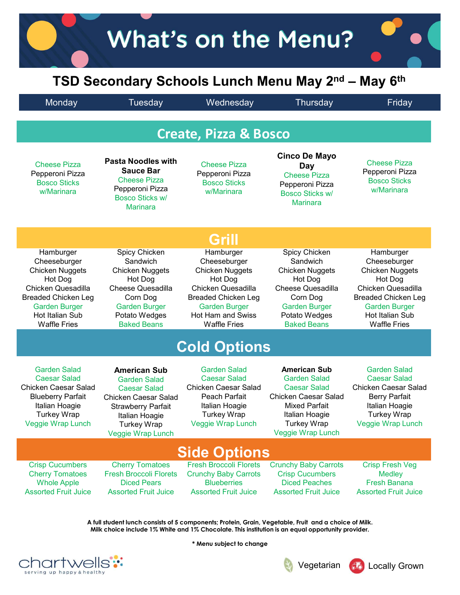## What's on the Menu?<br>
TSD Secondary Schools Lunch Menu May 2<sup>nd</sup> – May 6<sup>th</sup><br>
Monday Tuesday Wednesday Thursday Friday<br>
Create, Pizza & Bosco What's on the Menu?<br>TSD Secondary Schools Lunch Menu May 2<sup>nd</sup> – May 6<sup>th</sup><br>
Tuesday Wednesday Thursday Friday<br> **Create Piece 8 Beese**

|                                                                                                                                                                                             |                                                                                                                                                                                            | <b>Create, Pizza &amp; Bosco</b>                                                                                                                                                       |                                                                                                                                                                                              |                                                                                                                                                                                             |
|---------------------------------------------------------------------------------------------------------------------------------------------------------------------------------------------|--------------------------------------------------------------------------------------------------------------------------------------------------------------------------------------------|----------------------------------------------------------------------------------------------------------------------------------------------------------------------------------------|----------------------------------------------------------------------------------------------------------------------------------------------------------------------------------------------|---------------------------------------------------------------------------------------------------------------------------------------------------------------------------------------------|
| <b>Cheese Pizza</b><br>Pepperoni Pizza<br><b>Bosco Sticks</b><br>w/Marinara                                                                                                                 | <b>Pasta Noodles with</b><br><b>Sauce Bar</b><br><b>Cheese Pizza</b><br>Pepperoni Pizza<br>Bosco Sticks w/<br><b>Marinara</b>                                                              | Cheese Pizza<br>Pepperoni Pizza<br><b>Bosco Sticks</b><br>w/Marinara                                                                                                                   | <b>Cinco De Mayo</b><br>Day<br><b>Cheese Pizza</b><br>Pepperoni Pizza<br><b>Bosco Sticks w/</b><br><b>Marinara</b>                                                                           | <b>Cheese Pizza</b><br>Pepperoni Pizza<br><b>Bosco Sticks</b><br>w/Marinara                                                                                                                 |
|                                                                                                                                                                                             |                                                                                                                                                                                            | Grill                                                                                                                                                                                  |                                                                                                                                                                                              |                                                                                                                                                                                             |
| Hamburger<br>Cheeseburger<br><b>Chicken Nuggets</b><br>Hot Dog<br>Chicken Quesadilla<br><b>Breaded Chicken Leg</b><br><b>Garden Burger</b><br><b>Hot Italian Sub</b><br><b>Waffle Fries</b> | Spicy Chicken<br>Sandwich<br><b>Chicken Nuggets</b><br>Hot Dog<br><b>Cheese Quesadilla</b><br>Corn Dog<br><b>Garden Burger</b><br>Potato Wedges<br><b>Baked Beans</b>                      | Hamburger<br>Cheeseburger<br><b>Chicken Nuggets</b><br>Hot Dog<br>Chicken Quesadilla<br><b>Breaded Chicken Leg</b><br><b>Garden Burger</b><br>Hot Ham and Swiss<br><b>Waffle Fries</b> | Spicy Chicken<br>Sandwich<br><b>Chicken Nuggets</b><br>Hot Dog<br><b>Cheese Quesadilla</b><br>Corn Dog<br><b>Garden Burger</b><br>Potato Wedges<br><b>Baked Beans</b>                        | Hamburger<br>Cheeseburger<br><b>Chicken Nuggets</b><br>Hot Dog<br>Chicken Quesadilla<br><b>Breaded Chicken Leg</b><br><b>Garden Burger</b><br><b>Hot Italian Sub</b><br><b>Waffle Fries</b> |
|                                                                                                                                                                                             |                                                                                                                                                                                            | <b>Cold Options</b>                                                                                                                                                                    |                                                                                                                                                                                              |                                                                                                                                                                                             |
| <b>Garden Salad</b><br><b>Caesar Salad</b><br>Chicken Caesar Salad<br><b>Blueberry Parfait</b><br>Italian Hoagie<br><b>Turkey Wrap</b><br><b>Veggie Wrap Lunch</b>                          | <b>American Sub</b><br><b>Garden Salad</b><br><b>Caesar Salad</b><br><b>Chicken Caesar Salad</b><br><b>Strawberry Parfait</b><br>Italian Hoagie<br><b>Turkey Wrap</b><br>Veggie Wrap Lunch | <b>Garden Salad</b><br><b>Caesar Salad</b><br><b>Chicken Caesar Salad</b><br>Peach Parfait<br>Italian Hoagie<br><b>Turkey Wrap</b><br><b>Veggie Wrap Lunch</b>                         | <b>American Sub</b><br><b>Garden Salad</b><br><b>Caesar Salad</b><br><b>Chicken Caesar Salad</b><br><b>Mixed Parfait</b><br>Italian Hoagie<br><b>Turkey Wrap</b><br><b>Veggie Wrap Lunch</b> | <b>Garden Salad</b><br><b>Caesar Salad</b><br><b>Chicken Caesar Salad</b><br><b>Berry Parfait</b><br>Italian Hoagie<br><b>Turkey Wrap</b><br>Veggie Wrap Lunch                              |
|                                                                                                                                                                                             |                                                                                                                                                                                            | <b>Side Options</b>                                                                                                                                                                    |                                                                                                                                                                                              |                                                                                                                                                                                             |
| <b>Crisp Cucumbers</b><br><b>Cherry Tomatoes</b><br><b>Whole Apple</b><br><b>Assorted Fruit Juice</b>                                                                                       | <b>Cherry Tomatoes</b><br><b>Fresh Broccoli Florets</b><br><b>Diced Pears</b><br><b>Assorted Fruit Juice</b>                                                                               | <b>Fresh Broccoli Florets</b><br><b>Crunchy Baby Carrots</b><br><b>Blueberries</b><br><b>Assorted Fruit Juice</b>                                                                      | <b>Crunchy Baby Carrots</b><br><b>Crisp Cucumbers</b><br><b>Diced Peaches</b><br><b>Assorted Fruit Juice</b>                                                                                 | <b>Crisp Fresh Veg</b><br><b>Medley</b><br><b>Fresh Banana</b><br><b>Assorted Fruit Juice</b>                                                                                               |

A full student lunch consists of 5 components; Protein, Grain, Vegetable, Fruit and a choice of Milk. Milk choice include 1% White and 1% Chocolate. This institution is an equal opportunity provider.

\* Menu subject to change





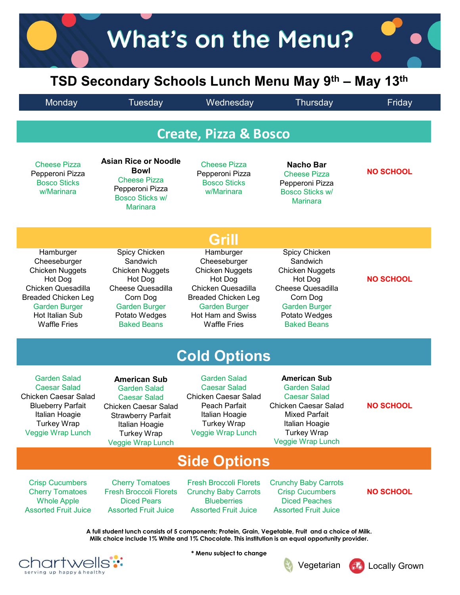## What's on the Menu?<br>
TSD Secondary Schools Lunch Menu May 9<sup>th</sup> – May 13<sup>th</sup><br>
Monday Tuesday Wednesday Thursday Friday<br>
Create, Pizza & Bosco What's on the Menu?<br>TSD Secondary Schools Lunch Menu May 9<sup>th</sup> – May 13<sup>th</sup><br>Tuesday Wednesday Thursday Friday<br>Create Disco & Besse

| <b>Create, Pizza &amp; Bosco</b><br><b>Asian Rice or Noodle</b><br><b>Cheese Pizza</b><br><b>Cheese Pizza</b><br><b>Nacho Bar</b><br><b>Bowl</b><br>Pepperoni Pizza<br>Pepperoni Pizza<br><b>Cheese Pizza</b><br><b>Cheese Pizza</b><br><b>Bosco Sticks</b><br><b>Bosco Sticks</b><br>Pepperoni Pizza<br>Pepperoni Pizza<br>w/Marinara<br>w/Marinara<br><b>Bosco Sticks w/</b><br><b>Bosco Sticks w/</b><br><b>Marinara</b><br><b>Marinara</b><br>Grill<br>Hamburger<br>Spicy Chicken<br>Spicy Chicken<br>Hamburger<br>Sandwich<br>Cheeseburger<br>Sandwich<br>Cheeseburger<br><b>Chicken Nuggets</b><br><b>Chicken Nuggets</b><br><b>Chicken Nuggets</b><br>Chicken Nuggets<br>Hot Dog<br>Hot Dog<br>Hot Dog<br>Hot Dog<br><b>Cheese Quesadilla</b><br>Chicken Quesadilla<br><b>Cheese Quesadilla</b><br><b>Breaded Chicken Leg</b><br>Corn Dog<br>Corn Dog<br><b>Garden Burger</b><br><b>Garden Burger</b><br><b>Garden Burger</b><br><b>Garden Burger</b><br>Hot Ham and Swiss<br>Hot Italian Sub<br>Potato Wedges<br>Potato Wedges<br><b>Waffle Fries</b><br><b>Waffle Fries</b><br><b>Baked Beans</b><br><b>Baked Beans</b><br><b>Cold Options</b><br><b>Garden Salad</b><br><b>American Sub</b><br><b>Garden Salad</b><br><b>American Sub</b><br><b>Caesar Salad</b><br><b>Caesar Salad</b><br><b>Garden Salad</b><br><b>Garden Salad</b><br><b>Chicken Caesar Salad</b><br><b>Caesar Salad</b><br><b>Caesar Salad</b><br><b>Chicken Caesar Salad</b><br><b>Blueberry Parfait</b><br>Peach Parfait<br><b>Chicken Caesar Salad</b><br><b>Mixed Parfait</b><br>Italian Hoagie<br>Italian Hoagie<br><b>Strawberry Parfait</b><br><b>Turkey Wrap</b><br>Turkey Wrap<br>Italian Hoagie<br>Italian Hoagie<br>Veggie Wrap Lunch<br><b>Turkey Wrap</b><br><b>Turkey Wrap</b><br><b>Veggie Wrap Lunch</b><br>Veggie Wrap Lunch | Monday                                           | Tuesday | Wednesday | Thursday | Friday           |
|-----------------------------------------------------------------------------------------------------------------------------------------------------------------------------------------------------------------------------------------------------------------------------------------------------------------------------------------------------------------------------------------------------------------------------------------------------------------------------------------------------------------------------------------------------------------------------------------------------------------------------------------------------------------------------------------------------------------------------------------------------------------------------------------------------------------------------------------------------------------------------------------------------------------------------------------------------------------------------------------------------------------------------------------------------------------------------------------------------------------------------------------------------------------------------------------------------------------------------------------------------------------------------------------------------------------------------------------------------------------------------------------------------------------------------------------------------------------------------------------------------------------------------------------------------------------------------------------------------------------------------------------------------------------------------------------------------------------------------------------------------------------------------------------------------------------------------|--------------------------------------------------|---------|-----------|----------|------------------|
|                                                                                                                                                                                                                                                                                                                                                                                                                                                                                                                                                                                                                                                                                                                                                                                                                                                                                                                                                                                                                                                                                                                                                                                                                                                                                                                                                                                                                                                                                                                                                                                                                                                                                                                                                                                                                             |                                                  |         |           |          |                  |
|                                                                                                                                                                                                                                                                                                                                                                                                                                                                                                                                                                                                                                                                                                                                                                                                                                                                                                                                                                                                                                                                                                                                                                                                                                                                                                                                                                                                                                                                                                                                                                                                                                                                                                                                                                                                                             |                                                  |         |           |          | <b>NO SCHOOL</b> |
|                                                                                                                                                                                                                                                                                                                                                                                                                                                                                                                                                                                                                                                                                                                                                                                                                                                                                                                                                                                                                                                                                                                                                                                                                                                                                                                                                                                                                                                                                                                                                                                                                                                                                                                                                                                                                             |                                                  |         |           |          |                  |
|                                                                                                                                                                                                                                                                                                                                                                                                                                                                                                                                                                                                                                                                                                                                                                                                                                                                                                                                                                                                                                                                                                                                                                                                                                                                                                                                                                                                                                                                                                                                                                                                                                                                                                                                                                                                                             | Chicken Quesadilla<br><b>Breaded Chicken Leg</b> |         |           |          | <b>NO SCHOOL</b> |
|                                                                                                                                                                                                                                                                                                                                                                                                                                                                                                                                                                                                                                                                                                                                                                                                                                                                                                                                                                                                                                                                                                                                                                                                                                                                                                                                                                                                                                                                                                                                                                                                                                                                                                                                                                                                                             |                                                  |         |           |          |                  |
|                                                                                                                                                                                                                                                                                                                                                                                                                                                                                                                                                                                                                                                                                                                                                                                                                                                                                                                                                                                                                                                                                                                                                                                                                                                                                                                                                                                                                                                                                                                                                                                                                                                                                                                                                                                                                             | Chicken Caesar Salad<br>Veggie Wrap Lunch        |         |           |          | <b>NO SCHOOL</b> |
| <b>Side Options</b>                                                                                                                                                                                                                                                                                                                                                                                                                                                                                                                                                                                                                                                                                                                                                                                                                                                                                                                                                                                                                                                                                                                                                                                                                                                                                                                                                                                                                                                                                                                                                                                                                                                                                                                                                                                                         |                                                  |         |           |          |                  |
| <b>Crisp Cucumbers</b><br><b>Fresh Broccoli Florets</b><br><b>Cherry Tomatoes</b><br><b>Crunchy Baby Carrots</b><br><b>Fresh Broccoli Florets</b><br><b>Crunchy Baby Carrots</b><br><b>Crisp Cucumbers</b><br><b>Cherry Tomatoes</b><br><b>Diced Pears</b><br><b>Diced Peaches</b><br><b>Whole Apple</b><br><b>Blueberries</b><br><b>Assorted Fruit Juice</b><br><b>Assorted Fruit Juice</b><br><b>Assorted Fruit Juice</b>                                                                                                                                                                                                                                                                                                                                                                                                                                                                                                                                                                                                                                                                                                                                                                                                                                                                                                                                                                                                                                                                                                                                                                                                                                                                                                                                                                                                 | <b>Assorted Fruit Juice</b>                      |         |           |          | <b>NO SCHOOL</b> |

**CNATTWEILS:** serving up happy & healthy

**Vegetarian 60** Locally Grown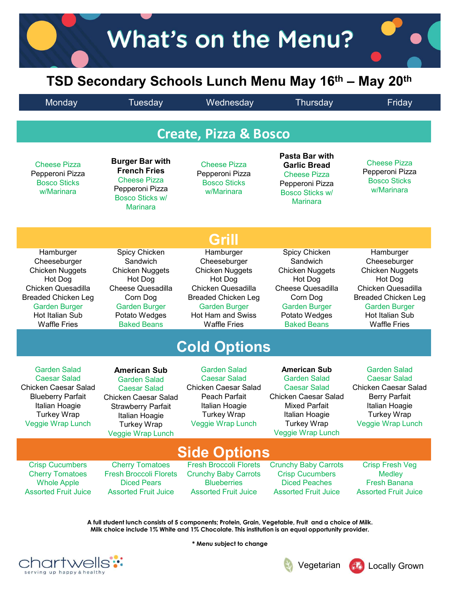## What's on the Menu?<br>
TSD Secondary Schools Lunch Menu May 16<sup>th</sup> – May 20<sup>th</sup><br>
Monday Tuesday Wednesday Thursday Friday<br>
Create, Pizza & Bosco What's on the Menu?<br>TSD Secondary Schools Lunch Menu May 16<sup>th</sup> – May 20<sup>th</sup><br>Monday Tuesday Wednesday Thursday Friday Create, Pizza & Bosco

| Grill<br>Spicy Chicken<br>Hamburger<br>Spicy Chicken<br>Hamburger<br>Hamburger<br>Cheeseburger<br>Sandwich<br>Cheeseburger<br>Sandwich<br>Cheeseburger<br><b>Chicken Nuggets</b><br>Chicken Nuggets<br><b>Chicken Nuggets</b><br><b>Chicken Nuggets</b><br>Chicken Nuggets<br>Hot Dog<br>Hot Dog<br>Hot Dog<br>Hot Dog<br>Hot Dog<br>Chicken Quesadilla<br><b>Cheese Quesadilla</b><br>Chicken Quesadilla<br><b>Cheese Quesadilla</b><br>Chicken Quesadilla<br><b>Breaded Chicken Leg</b><br>Corn Dog<br><b>Breaded Chicken Leg</b><br>Corn Dog<br><b>Breaded Chicken Leg</b><br><b>Garden Burger</b><br><b>Garden Burger</b><br><b>Garden Burger</b><br><b>Garden Burger</b><br><b>Garden Burger</b><br>Hot Italian Sub<br>Hot Ham and Swiss<br>Hot Italian Sub<br>Potato Wedges<br>Potato Wedges<br><b>Waffle Fries</b><br><b>Waffle Fries</b><br><b>Waffle Fries</b><br><b>Baked Beans</b><br><b>Baked Beans</b><br><b>Cold Options</b><br><b>Garden Salad</b><br><b>Garden Salad</b><br><b>Garden Salad</b><br><b>American Sub</b><br><b>American Sub</b><br><b>Caesar Salad</b><br><b>Caesar Salad</b><br><b>Garden Salad</b><br><b>Caesar Salad</b><br><b>Garden Salad</b><br>Chicken Caesar Salad<br><b>Chicken Caesar Salad</b><br><b>Caesar Salad</b><br><b>Caesar Salad</b><br><b>Chicken Caesar Salad</b><br><b>Blueberry Parfait</b><br>Peach Parfait<br><b>Berry Parfait</b><br><b>Chicken Caesar Salad</b><br><b>Mixed Parfait</b><br>Italian Hoagie<br>Italian Hoagie<br>Italian Hoagie<br><b>Strawberry Parfait</b><br><b>Turkey Wrap</b><br>Italian Hoagie<br><b>Turkey Wrap</b><br><b>Turkey Wrap</b><br>Italian Hoagie<br>Veggie Wrap Lunch<br><b>Veggie Wrap Lunch</b><br><b>Turkey Wrap</b><br>Veggie Wrap Lunch<br><b>Turkey Wrap</b><br>Veggie Wrap Lunch<br><b>Veggie Wrap Lunch</b><br><b>Side Options</b><br><b>Cherry Tomatoes</b><br><b>Fresh Broccoli Florets</b><br><b>Crunchy Baby Carrots</b><br><b>Crisp Fresh Veg</b><br><b>Crisp Cucumbers</b><br><b>Cherry Tomatoes</b><br><b>Fresh Broccoli Florets</b><br><b>Crunchy Baby Carrots</b><br><b>Crisp Cucumbers</b><br><b>Medley</b><br><b>Diced Pears</b><br><b>Diced Peaches</b><br><b>Whole Apple</b><br><b>Blueberries</b><br><b>Fresh Banana</b><br><b>Assorted Fruit Juice</b><br><b>Assorted Fruit Juice</b><br><b>Assorted Fruit Juice</b><br><b>Assorted Fruit Juice</b><br><b>Assorted Fruit Juice</b> | <b>Cheese Pizza</b><br>Pepperoni Pizza<br><b>Bosco Sticks</b><br>w/Marinara | <b>Burger Bar with</b><br><b>French Fries</b><br><b>Cheese Pizza</b><br>Pepperoni Pizza<br><b>Bosco Sticks w/</b><br><b>Marinara</b> | <b>Cheese Pizza</b><br>Pepperoni Pizza<br><b>Bosco Sticks</b><br>w/Marinara | Fasta Dar With<br><b>Garlic Bread</b><br><b>Cheese Pizza</b><br>Pepperoni Pizza<br><b>Bosco Sticks w/</b><br><b>Marinara</b> | <b>Cheese Pizza</b><br>Pepperoni Pizza<br><b>Bosco Sticks</b><br>w/Marinara |
|----------------------------------------------------------------------------------------------------------------------------------------------------------------------------------------------------------------------------------------------------------------------------------------------------------------------------------------------------------------------------------------------------------------------------------------------------------------------------------------------------------------------------------------------------------------------------------------------------------------------------------------------------------------------------------------------------------------------------------------------------------------------------------------------------------------------------------------------------------------------------------------------------------------------------------------------------------------------------------------------------------------------------------------------------------------------------------------------------------------------------------------------------------------------------------------------------------------------------------------------------------------------------------------------------------------------------------------------------------------------------------------------------------------------------------------------------------------------------------------------------------------------------------------------------------------------------------------------------------------------------------------------------------------------------------------------------------------------------------------------------------------------------------------------------------------------------------------------------------------------------------------------------------------------------------------------------------------------------------------------------------------------------------------------------------------------------------------------------------------------------------------------------------------------------------------------------------------------------------------------------------------------------------------------------------------------------------------------------------------------------------------------------|-----------------------------------------------------------------------------|--------------------------------------------------------------------------------------------------------------------------------------|-----------------------------------------------------------------------------|------------------------------------------------------------------------------------------------------------------------------|-----------------------------------------------------------------------------|
|                                                                                                                                                                                                                                                                                                                                                                                                                                                                                                                                                                                                                                                                                                                                                                                                                                                                                                                                                                                                                                                                                                                                                                                                                                                                                                                                                                                                                                                                                                                                                                                                                                                                                                                                                                                                                                                                                                                                                                                                                                                                                                                                                                                                                                                                                                                                                                                                    |                                                                             |                                                                                                                                      |                                                                             |                                                                                                                              |                                                                             |
|                                                                                                                                                                                                                                                                                                                                                                                                                                                                                                                                                                                                                                                                                                                                                                                                                                                                                                                                                                                                                                                                                                                                                                                                                                                                                                                                                                                                                                                                                                                                                                                                                                                                                                                                                                                                                                                                                                                                                                                                                                                                                                                                                                                                                                                                                                                                                                                                    |                                                                             |                                                                                                                                      |                                                                             |                                                                                                                              |                                                                             |
|                                                                                                                                                                                                                                                                                                                                                                                                                                                                                                                                                                                                                                                                                                                                                                                                                                                                                                                                                                                                                                                                                                                                                                                                                                                                                                                                                                                                                                                                                                                                                                                                                                                                                                                                                                                                                                                                                                                                                                                                                                                                                                                                                                                                                                                                                                                                                                                                    |                                                                             |                                                                                                                                      |                                                                             |                                                                                                                              |                                                                             |
|                                                                                                                                                                                                                                                                                                                                                                                                                                                                                                                                                                                                                                                                                                                                                                                                                                                                                                                                                                                                                                                                                                                                                                                                                                                                                                                                                                                                                                                                                                                                                                                                                                                                                                                                                                                                                                                                                                                                                                                                                                                                                                                                                                                                                                                                                                                                                                                                    |                                                                             |                                                                                                                                      |                                                                             |                                                                                                                              | <b>Chicken Caesar Salad</b>                                                 |
|                                                                                                                                                                                                                                                                                                                                                                                                                                                                                                                                                                                                                                                                                                                                                                                                                                                                                                                                                                                                                                                                                                                                                                                                                                                                                                                                                                                                                                                                                                                                                                                                                                                                                                                                                                                                                                                                                                                                                                                                                                                                                                                                                                                                                                                                                                                                                                                                    |                                                                             |                                                                                                                                      |                                                                             |                                                                                                                              |                                                                             |
|                                                                                                                                                                                                                                                                                                                                                                                                                                                                                                                                                                                                                                                                                                                                                                                                                                                                                                                                                                                                                                                                                                                                                                                                                                                                                                                                                                                                                                                                                                                                                                                                                                                                                                                                                                                                                                                                                                                                                                                                                                                                                                                                                                                                                                                                                                                                                                                                    |                                                                             |                                                                                                                                      |                                                                             |                                                                                                                              |                                                                             |

A full student lunch consists of 5 components; Protein, Grain, Vegetable, Fruit and a choice of Milk. Milk choice include 1% White and 1% Chocolate. This institution is an equal opportunity provider.

\* Menu subject to change





Pasta Bar with